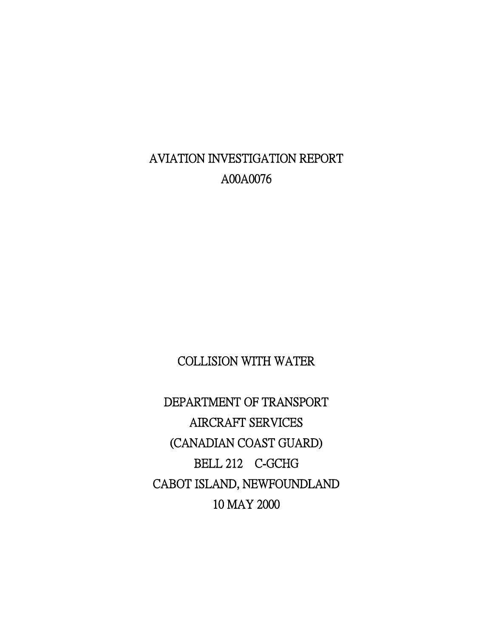AVIATION INVESTIGATION REPORT A00A0076

COLLISION WITH WATER

 DEPARTMENT OF TRANSPORT AIRCRAFT SERVICES (CANADIAN COAST GUARD) BELL 212 C-GCHG CABOT ISLAND, NEWFOUNDLAND 10 MAY 2000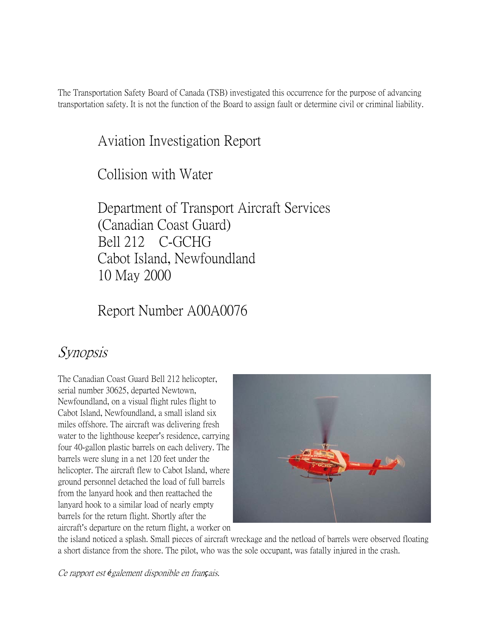The Transportation Safety Board of Canada (TSB) investigated this occurrence for the purpose of advancing transportation safety. It is not the function of the Board to assign fault or determine civil or criminal liability.

# Aviation Investigation Report

Collision with Water

Department of Transport Aircraft Services (Canadian Coast Guard) Bell 212 C-GCHG Cabot Island, Newfoundland 10 May 2000

Report Number A00A0076

# Synopsis

The Canadian Coast Guard Bell 212 helicopter, serial number 30625, departed Newtown, Newfoundland, on a visual flight rules flight to Cabot Island, Newfoundland, a small island six miles offshore. The aircraft was delivering fresh water to the lighthouse keeper's residence, carrying four 40-gallon plastic barrels on each delivery. The barrels were slung in a net 120 feet under the helicopter. The aircraft flew to Cabot Island, where ground personnel detached the load of full barrels from the lanyard hook and then reattached the lanyard hook to a similar load of nearly empty barrels for the return flight. Shortly after the aircraft's departure on the return flight, a worker on



the island noticed a splash. Small pieces of aircraft wreckage and the netload of barrels were observed floating a short distance from the shore. The pilot, who was the sole occupant, was fatally injured in the crash.

Ce rapport est *é*galement disponible en fran*ç*ais.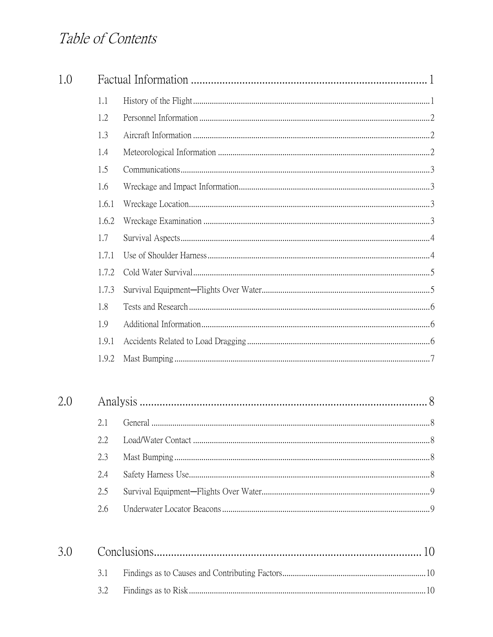# Table of Contents

| 1.0 |       |  |  |
|-----|-------|--|--|
|     | 1.1   |  |  |
|     | 1.2   |  |  |
|     | 1.3   |  |  |
|     | 1.4   |  |  |
|     | 1.5   |  |  |
|     | 1.6   |  |  |
|     | 1.6.1 |  |  |
|     | 1.6.2 |  |  |
|     | 1.7   |  |  |
|     | 1.7.1 |  |  |
|     | 1.7.2 |  |  |
|     | 1.7.3 |  |  |
|     | 1.8   |  |  |
|     | 1.9   |  |  |
|     | 1.9.1 |  |  |
|     | 1.9.2 |  |  |
| 2.0 |       |  |  |
|     | 2.1   |  |  |
|     | 2.2   |  |  |
|     | 2.3   |  |  |
|     | 2.4   |  |  |
|     | 2.5   |  |  |
|     | 2.6   |  |  |
| 3.0 |       |  |  |
|     | 3.1   |  |  |

| --- |  |
|-----|--|
|     |  |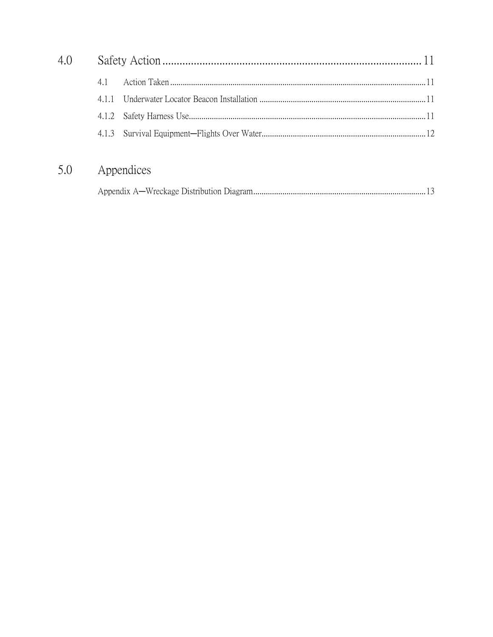#### 5.0 Appendices

|--|--|--|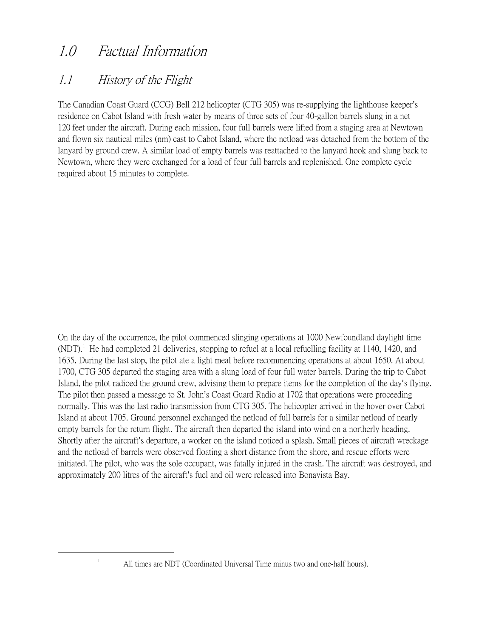# 1.0 Factual Information

## 1.1 History of the Flight

The Canadian Coast Guard (CCG) Bell 212 helicopter (CTG 305) was re-supplying the lighthouse keeper's residence on Cabot Island with fresh water by means of three sets of four 40-gallon barrels slung in a net 120 feet under the aircraft. During each mission, four full barrels were lifted from a staging area at Newtown and flown six nautical miles (nm) east to Cabot Island, where the netload was detached from the bottom of the lanyard by ground crew. A similar load of empty barrels was reattached to the lanyard hook and slung back to Newtown, where they were exchanged for a load of four full barrels and replenished. One complete cycle required about 15 minutes to complete.

On the day of the occurrence, the pilot commenced slinging operations at 1000 Newfoundland daylight time  $(NDT)$ .<sup>[1](#page-4-0)</sup> He had completed 21 deliveries, stopping to refuel at a local refuelling facility at 1140, 1420, and 1635. During the last stop, the pilot ate a light meal before recommencing operations at about 1650. At about 1700, CTG 305 departed the staging area with a slung load of four full water barrels. During the trip to Cabot Island, the pilot radioed the ground crew, advising them to prepare items for the completion of the day's flying. The pilot then passed a message to St. John's Coast Guard Radio at 1702 that operations were proceeding normally. This was the last radio transmission from CTG 305. The helicopter arrived in the hover over Cabot Island at about 1705. Ground personnel exchanged the netload of full barrels for a similar netload of nearly empty barrels for the return flight. The aircraft then departed the island into wind on a northerly heading. Shortly after the aircraft's departure, a worker on the island noticed a splash. Small pieces of aircraft wreckage and the netload of barrels were observed floating a short distance from the shore, and rescue efforts were initiated. The pilot, who was the sole occupant, was fatally injured in the crash. The aircraft was destroyed, and approximately 200 litres of the aircraft's fuel and oil were released into Bonavista Bay.

<span id="page-4-0"></span>1

All times are NDT (Coordinated Universal Time minus two and one-half hours).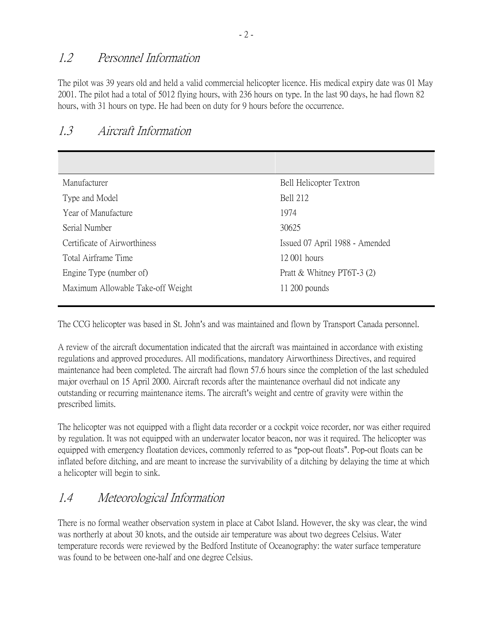### 1.2 Personnel Information

The pilot was 39 years old and held a valid commercial helicopter licence. His medical expiry date was 01 May 2001. The pilot had a total of 5012 flying hours, with 236 hours on type. In the last 90 days, he had flown 82 hours, with 31 hours on type. He had been on duty for 9 hours before the occurrence.

### 1.3 Aircraft Information

| Manufacturer                      | Bell Helicopter Textron        |
|-----------------------------------|--------------------------------|
| Type and Model                    | <b>Bell 212</b>                |
| Year of Manufacture               | 1974                           |
| Serial Number                     | 30625                          |
| Certificate of Airworthiness      | Issued 07 April 1988 - Amended |
| Total Airframe Time               | 12 001 hours                   |
| Engine Type (number of)           | Pratt & Whitney PT6T-3 $(2)$   |
| Maximum Allowable Take-off Weight | $11\,200$ pounds               |
|                                   |                                |

The CCG helicopter was based in St. John's and was maintained and flown by Transport Canada personnel.

A review of the aircraft documentation indicated that the aircraft was maintained in accordance with existing regulations and approved procedures. All modifications, mandatory Airworthiness Directives, and required maintenance had been completed. The aircraft had flown 57.6 hours since the completion of the last scheduled major overhaul on 15 April 2000. Aircraft records after the maintenance overhaul did not indicate any outstanding or recurring maintenance items. The aircraft's weight and centre of gravity were within the prescribed limits.

The helicopter was not equipped with a flight data recorder or a cockpit voice recorder, nor was either required by regulation. It was not equipped with an underwater locator beacon, nor was it required. The helicopter was equipped with emergency floatation devices, commonly referred to as "pop-out floats". Pop-out floats can be inflated before ditching, and are meant to increase the survivability of a ditching by delaying the time at which a helicopter will begin to sink.

### 1.4 Meteorological Information

There is no formal weather observation system in place at Cabot Island. However, the sky was clear, the wind was northerly at about 30 knots, and the outside air temperature was about two degrees Celsius. Water temperature records were reviewed by the Bedford Institute of Oceanography: the water surface temperature was found to be between one-half and one degree Celsius.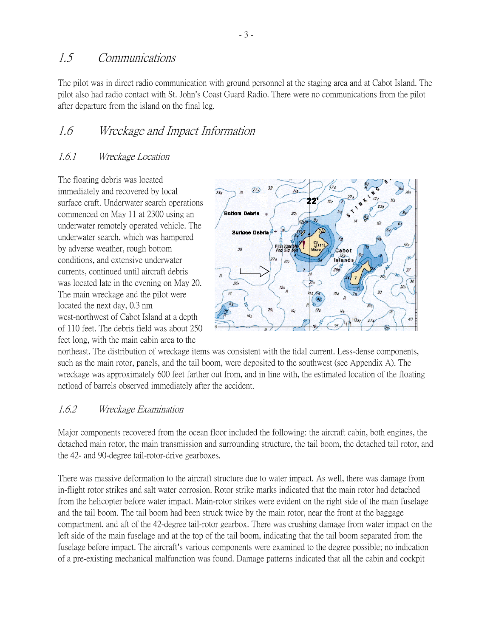#### 1.5 Communications

The pilot was in direct radio communication with ground personnel at the staging area and at Cabot Island. The pilot also had radio contact with St. John's Coast Guard Radio. There were no communications from the pilot after departure from the island on the final leg.

### 1.6 Wreckage and Impact Information

#### 1.6.1 Wreckage Location

The floating debris was located immediately and recovered by local surface craft. Underwater search operations commenced on May 11 at 2300 using an underwater remotely operated vehicle. The underwater search, which was hampered by adverse weather, rough bottom conditions, and extensive underwater currents, continued until aircraft debris was located late in the evening on May 20. The main wreckage and the pilot were located the next day, 0.3 nm west-northwest of Cabot Island at a depth of 110 feet. The debris field was about 250 feet long, with the main cabin area to the



northeast. The distribution of wreckage items was consistent with the tidal current. Less-dense components, such as the main rotor, panels, and the tail boom, were deposited to the southwest (see Appendix A). The wreckage was approximately 600 feet farther out from, and in line with, the estimated location of the floating netload of barrels observed immediately after the accident.

#### 1.6.2 Wreckage Examination

Major components recovered from the ocean floor included the following: the aircraft cabin, both engines, the detached main rotor, the main transmission and surrounding structure, the tail boom, the detached tail rotor, and the 42- and 90-degree tail-rotor-drive gearboxes.

There was massive deformation to the aircraft structure due to water impact. As well, there was damage from in-flight rotor strikes and salt water corrosion. Rotor strike marks indicated that the main rotor had detached from the helicopter before water impact. Main-rotor strikes were evident on the right side of the main fuselage and the tail boom. The tail boom had been struck twice by the main rotor, near the front at the baggage compartment, and aft of the 42-degree tail-rotor gearbox. There was crushing damage from water impact on the left side of the main fuselage and at the top of the tail boom, indicating that the tail boom separated from the fuselage before impact. The aircraft's various components were examined to the degree possible; no indication of a pre-existing mechanical malfunction was found. Damage patterns indicated that all the cabin and cockpit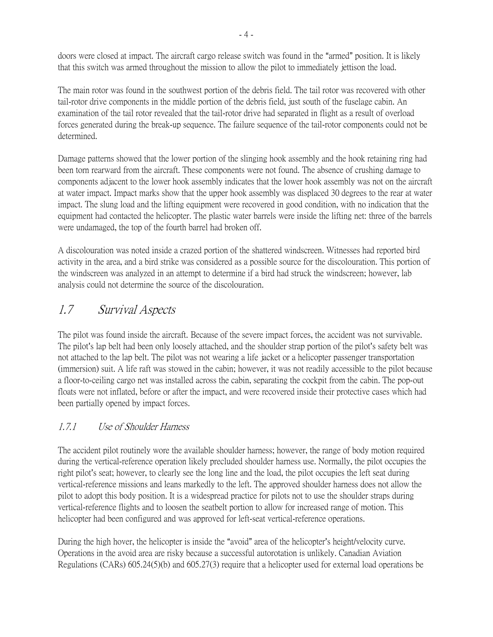doors were closed at impact. The aircraft cargo release switch was found in the "armed" position. It is likely that this switch was armed throughout the mission to allow the pilot to immediately jettison the load.

The main rotor was found in the southwest portion of the debris field. The tail rotor was recovered with other tail-rotor drive components in the middle portion of the debris field, just south of the fuselage cabin. An examination of the tail rotor revealed that the tail-rotor drive had separated in flight as a result of overload forces generated during the break-up sequence. The failure sequence of the tail-rotor components could not be determined.

Damage patterns showed that the lower portion of the slinging hook assembly and the hook retaining ring had been torn rearward from the aircraft. These components were not found. The absence of crushing damage to components adjacent to the lower hook assembly indicates that the lower hook assembly was not on the aircraft at water impact. Impact marks show that the upper hook assembly was displaced 30 degrees to the rear at water impact. The slung load and the lifting equipment were recovered in good condition, with no indication that the equipment had contacted the helicopter. The plastic water barrels were inside the lifting net: three of the barrels were undamaged, the top of the fourth barrel had broken off.

A discolouration was noted inside a crazed portion of the shattered windscreen. Witnesses had reported bird activity in the area, and a bird strike was considered as a possible source for the discolouration. This portion of the windscreen was analyzed in an attempt to determine if a bird had struck the windscreen; however, lab analysis could not determine the source of the discolouration.

## 1.7 Survival Aspects

The pilot was found inside the aircraft. Because of the severe impact forces, the accident was not survivable. The pilot's lap belt had been only loosely attached, and the shoulder strap portion of the pilot's safety belt was not attached to the lap belt. The pilot was not wearing a life jacket or a helicopter passenger transportation (immersion) suit. A life raft was stowed in the cabin; however, it was not readily accessible to the pilot because a floor-to-ceiling cargo net was installed across the cabin, separating the cockpit from the cabin. The pop-out floats were not inflated, before or after the impact, and were recovered inside their protective cases which had been partially opened by impact forces.

#### 1.7.1 Use of Shoulder Harness

The accident pilot routinely wore the available shoulder harness; however, the range of body motion required during the vertical-reference operation likely precluded shoulder harness use. Normally, the pilot occupies the right pilot's seat; however, to clearly see the long line and the load, the pilot occupies the left seat during vertical-reference missions and leans markedly to the left. The approved shoulder harness does not allow the pilot to adopt this body position. It is a widespread practice for pilots not to use the shoulder straps during vertical-reference flights and to loosen the seatbelt portion to allow for increased range of motion. This helicopter had been configured and was approved for left-seat vertical-reference operations.

During the high hover, the helicopter is inside the "avoid" area of the helicopter's height/velocity curve. Operations in the avoid area are risky because a successful autorotation is unlikely. Canadian Aviation Regulations (CARs) 605.24(5)(b) and 605.27(3) require that a helicopter used for external load operations be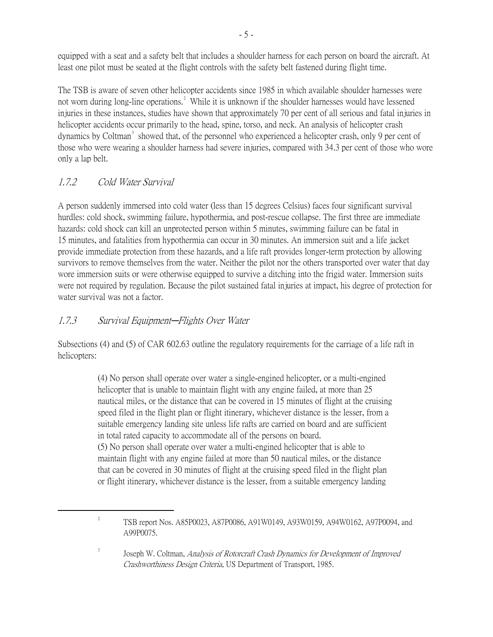equipped with a seat and a safety belt that includes a shoulder harness for each person on board the aircraft. At least one pilot must be seated at the flight controls with the safety belt fastened during flight time.

The TSB is aware of seven other helicopter accidents since 1985 in which available shoulder harnesses were not worn during long-line operations.<sup>[2](#page-8-0)</sup> While it is unknown if the shoulder harnesses would have lessened injuries in these instances, studies have shown that approximately 70 per cent of all serious and fatal injuries in helicopter accidents occur primarily to the head, spine, torso, and neck. An analysis of helicopter crash dynamics by Coltman<sup>[3](#page-8-1)</sup> showed that, of the personnel who experienced a helicopter crash, only 9 per cent of those who were wearing a shoulder harness had severe injuries, compared with 34.3 per cent of those who wore only a lap belt.

#### 1.7.2 Cold Water Survival

3

A person suddenly immersed into cold water (less than 15 degrees Celsius) faces four significant survival hurdles: cold shock, swimming failure, hypothermia, and post-rescue collapse. The first three are immediate hazards: cold shock can kill an unprotected person within 5 minutes, swimming failure can be fatal in 15 minutes, and fatalities from hypothermia can occur in 30 minutes. An immersion suit and a life jacket provide immediate protection from these hazards, and a life raft provides longer-term protection by allowing survivors to remove themselves from the water. Neither the pilot nor the others transported over water that day wore immersion suits or were otherwise equipped to survive a ditching into the frigid water. Immersion suits were not required by regulation. Because the pilot sustained fatal injuries at impact, his degree of protection for water survival was not a factor.

#### 1.7.3 Survival Equipment-Flights Over Water

Subsections (4) and (5) of CAR 602.63 outline the regulatory requirements for the carriage of a life raft in helicopters:

> (4) No person shall operate over water a single-engined helicopter, or a multi-engined helicopter that is unable to maintain flight with any engine failed, at more than 25 nautical miles, or the distance that can be covered in 15 minutes of flight at the cruising speed filed in the flight plan or flight itinerary, whichever distance is the lesser, from a suitable emergency landing site unless life rafts are carried on board and are sufficient in total rated capacity to accommodate all of the persons on board. (5) No person shall operate over water a multi-engined helicopter that is able to maintain flight with any engine failed at more than 50 nautical miles, or the distance that can be covered in 30 minutes of flight at the cruising speed filed in the flight plan or flight itinerary, whichever distance is the lesser, from a suitable emergency landing

<span id="page-8-1"></span><span id="page-8-0"></span> $\overline{\phantom{a}}$ TSB report Nos. A85P0023, A87P0086, A91W0149, A93W0159, A94W0162, A97P0094, and A99P0075.

Joseph W. Coltman, Analysis of Rotorcraft Crash Dynamics for Development of Improved Crashworthiness Design Criteria, US Department of Transport, 1985.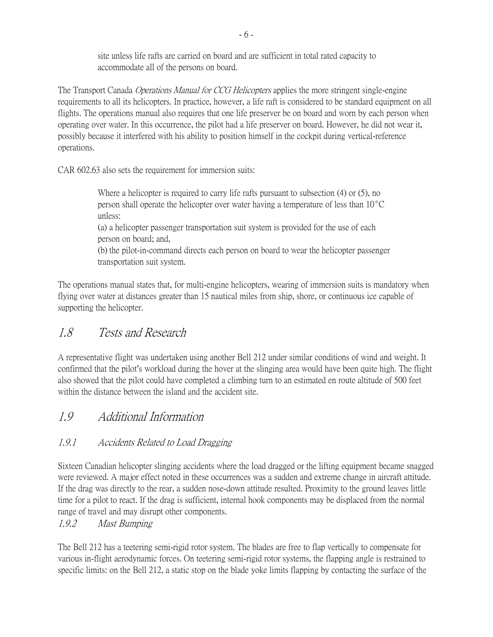site unless life rafts are carried on board and are sufficient in total rated capacity to accommodate all of the persons on board.

The Transport Canada *Operations Manual for CCG Helicopters* applies the more stringent single-engine requirements to all its helicopters. In practice, however, a life raft is considered to be standard equipment on all flights. The operations manual also requires that one life preserver be on board and worn by each person when operating over water. In this occurrence, the pilot had a life preserver on board. However, he did not wear it, possibly because it interfered with his ability to position himself in the cockpit during vertical-reference operations.

CAR 602.63 also sets the requirement for immersion suits:

Where a helicopter is required to carry life rafts pursuant to subsection (4) or (5), no person shall operate the helicopter over water having a temperature of less than  $10^{\circ}$ C unless:

(a) a helicopter passenger transportation suit system is provided for the use of each person on board; and,

(b) the pilot-in-command directs each person on board to wear the helicopter passenger transportation suit system.

The operations manual states that, for multi-engine helicopters, wearing of immersion suits is mandatory when flying over water at distances greater than 15 nautical miles from ship, shore, or continuous ice capable of supporting the helicopter.

### 1.8 Tests and Research

A representative flight was undertaken using another Bell 212 under similar conditions of wind and weight. It confirmed that the pilot's workload during the hover at the slinging area would have been quite high. The flight also showed that the pilot could have completed a climbing turn to an estimated en route altitude of 500 feet within the distance between the island and the accident site.

## 1.9 Additional Information

#### 1.9.1 Accidents Related to Load Dragging

Sixteen Canadian helicopter slinging accidents where the load dragged or the lifting equipment became snagged were reviewed. A major effect noted in these occurrences was a sudden and extreme change in aircraft attitude. If the drag was directly to the rear, a sudden nose-down attitude resulted. Proximity to the ground leaves little time for a pilot to react. If the drag is sufficient, internal hook components may be displaced from the normal range of travel and may disrupt other components.

1.9.2 Mast Bumping

The Bell 212 has a teetering semi-rigid rotor system. The blades are free to flap vertically to compensate for various in-flight aerodynamic forces. On teetering semi-rigid rotor systems, the flapping angle is restrained to specific limits: on the Bell 212, a static stop on the blade yoke limits flapping by contacting the surface of the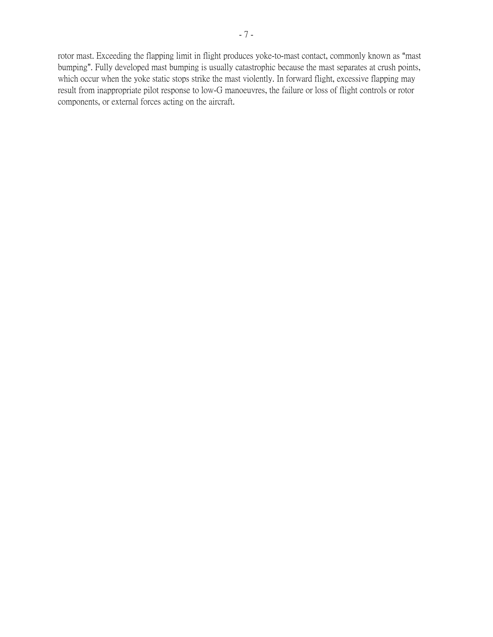rotor mast. Exceeding the flapping limit in flight produces yoke-to-mast contact, commonly known as "mast bumping". Fully developed mast bumping is usually catastrophic because the mast separates at crush points, which occur when the yoke static stops strike the mast violently. In forward flight, excessive flapping may result from inappropriate pilot response to low-G manoeuvres, the failure or loss of flight controls or rotor components, or external forces acting on the aircraft.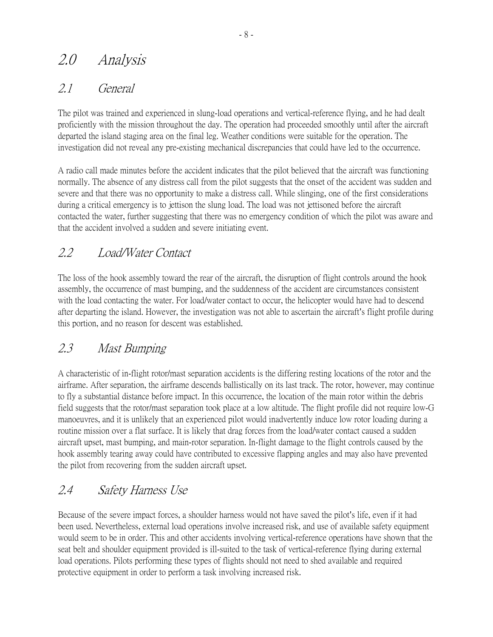# 2.0 Analysis

### 2.1 General

The pilot was trained and experienced in slung-load operations and vertical-reference flying, and he had dealt proficiently with the mission throughout the day. The operation had proceeded smoothly until after the aircraft departed the island staging area on the final leg. Weather conditions were suitable for the operation. The investigation did not reveal any pre-existing mechanical discrepancies that could have led to the occurrence.

A radio call made minutes before the accident indicates that the pilot believed that the aircraft was functioning normally. The absence of any distress call from the pilot suggests that the onset of the accident was sudden and severe and that there was no opportunity to make a distress call. While slinging, one of the first considerations during a critical emergency is to jettison the slung load. The load was not jettisoned before the aircraft contacted the water, further suggesting that there was no emergency condition of which the pilot was aware and that the accident involved a sudden and severe initiating event.

## 2.2 Load/Water Contact

The loss of the hook assembly toward the rear of the aircraft, the disruption of flight controls around the hook assembly, the occurrence of mast bumping, and the suddenness of the accident are circumstances consistent with the load contacting the water. For load/water contact to occur, the helicopter would have had to descend after departing the island. However, the investigation was not able to ascertain the aircraft's flight profile during this portion, and no reason for descent was established.

## 2.3 Mast Bumping

A characteristic of in-flight rotor/mast separation accidents is the differing resting locations of the rotor and the airframe. After separation, the airframe descends ballistically on its last track. The rotor, however, may continue to fly a substantial distance before impact. In this occurrence, the location of the main rotor within the debris field suggests that the rotor/mast separation took place at a low altitude. The flight profile did not require low-G manoeuvres, and it is unlikely that an experienced pilot would inadvertently induce low rotor loading during a routine mission over a flat surface. It is likely that drag forces from the load/water contact caused a sudden aircraft upset, mast bumping, and main-rotor separation. In-flight damage to the flight controls caused by the hook assembly tearing away could have contributed to excessive flapping angles and may also have prevented the pilot from recovering from the sudden aircraft upset.

## 2.4 Safety Harness Use

Because of the severe impact forces, a shoulder harness would not have saved the pilot's life, even if it had been used. Nevertheless, external load operations involve increased risk, and use of available safety equipment would seem to be in order. This and other accidents involving vertical-reference operations have shown that the seat belt and shoulder equipment provided is ill-suited to the task of vertical-reference flying during external load operations. Pilots performing these types of flights should not need to shed available and required protective equipment in order to perform a task involving increased risk.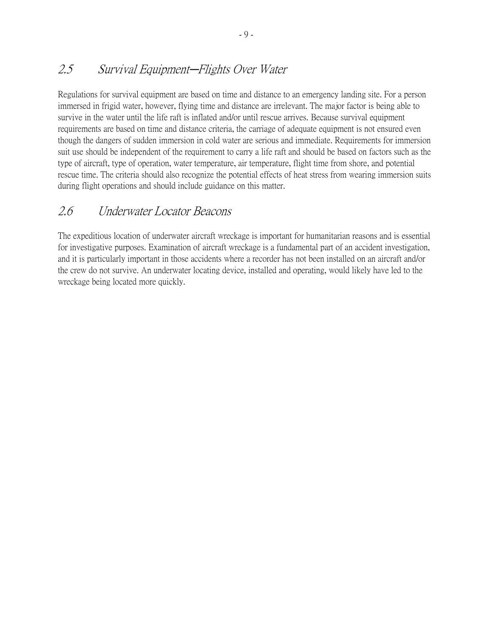### 2.5 Survival Equipment-Flights Over Water

Regulations for survival equipment are based on time and distance to an emergency landing site. For a person immersed in frigid water, however, flying time and distance are irrelevant. The major factor is being able to survive in the water until the life raft is inflated and/or until rescue arrives. Because survival equipment requirements are based on time and distance criteria, the carriage of adequate equipment is not ensured even though the dangers of sudden immersion in cold water are serious and immediate. Requirements for immersion suit use should be independent of the requirement to carry a life raft and should be based on factors such as the type of aircraft, type of operation, water temperature, air temperature, flight time from shore, and potential rescue time. The criteria should also recognize the potential effects of heat stress from wearing immersion suits during flight operations and should include guidance on this matter.

### 2.6 Underwater Locator Beacons

The expeditious location of underwater aircraft wreckage is important for humanitarian reasons and is essential for investigative purposes. Examination of aircraft wreckage is a fundamental part of an accident investigation, and it is particularly important in those accidents where a recorder has not been installed on an aircraft and/or the crew do not survive. An underwater locating device, installed and operating, would likely have led to the wreckage being located more quickly.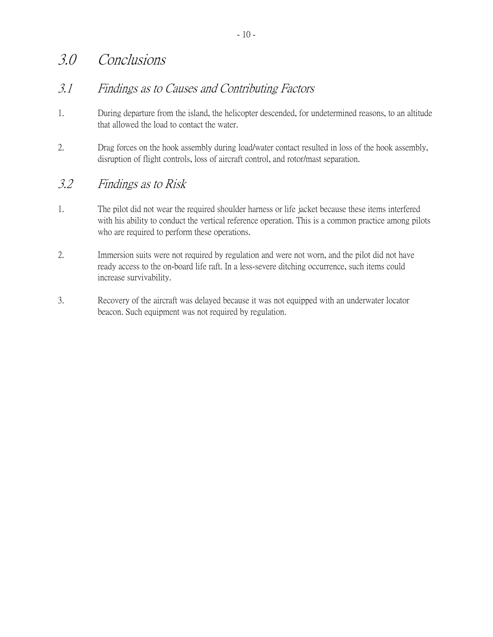# 3.0 Conclusions

### 3.1 Findings as to Causes and Contributing Factors

- 1. During departure from the island, the helicopter descended, for undetermined reasons, to an altitude that allowed the load to contact the water.
- 2. Drag forces on the hook assembly during load/water contact resulted in loss of the hook assembly, disruption of flight controls, loss of aircraft control, and rotor/mast separation.

### 3.2 Findings as to Risk

- 1. The pilot did not wear the required shoulder harness or life jacket because these items interfered with his ability to conduct the vertical reference operation. This is a common practice among pilots who are required to perform these operations.
- 2. Immersion suits were not required by regulation and were not worn, and the pilot did not have ready access to the on-board life raft. In a less-severe ditching occurrence, such items could increase survivability.
- 3. Recovery of the aircraft was delayed because it was not equipped with an underwater locator beacon. Such equipment was not required by regulation.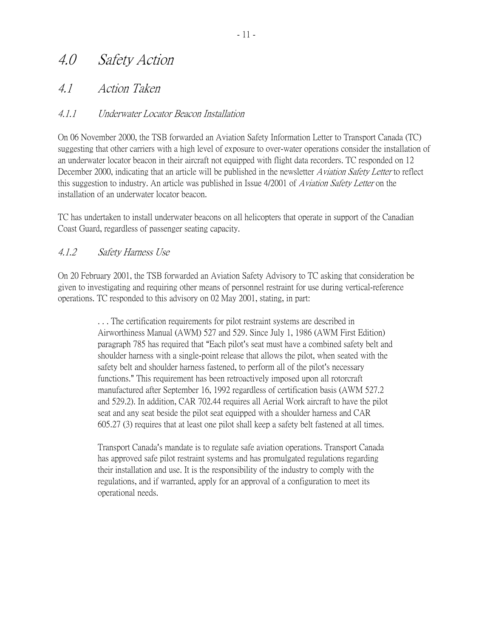# 4.0 Safety Action

### 4.1 Action Taken

#### 4.1.1 Underwater Locator Beacon Installation

On 06 November 2000, the TSB forwarded an Aviation Safety Information Letter to Transport Canada (TC) suggesting that other carriers with a high level of exposure to over-water operations consider the installation of an underwater locator beacon in their aircraft not equipped with flight data recorders. TC responded on 12 December 2000, indicating that an article will be published in the newsletter Aviation Safety Letter to reflect this suggestion to industry. An article was published in Issue 4/2001 of *Aviation Safety Letter* on the installation of an underwater locator beacon.

TC has undertaken to install underwater beacons on all helicopters that operate in support of the Canadian Coast Guard, regardless of passenger seating capacity.

#### 4.1.2 Safety Harness Use

On 20 February 2001, the TSB forwarded an Aviation Safety Advisory to TC asking that consideration be given to investigating and requiring other means of personnel restraint for use during vertical-reference operations. TC responded to this advisory on 02 May 2001, stating, in part:

> . . . The certification requirements for pilot restraint systems are described in Airworthiness Manual (AWM) 527 and 529. Since July 1, 1986 (AWM First Edition) paragraph 785 has required that "Each pilot's seat must have a combined safety belt and shoulder harness with a single-point release that allows the pilot, when seated with the safety belt and shoulder harness fastened, to perform all of the pilot's necessary functions." This requirement has been retroactively imposed upon all rotorcraft manufactured after September 16, 1992 regardless of certification basis (AWM 527.2 and 529.2). In addition, CAR 702.44 requires all Aerial Work aircraft to have the pilot seat and any seat beside the pilot seat equipped with a shoulder harness and CAR 605.27 (3) requires that at least one pilot shall keep a safety belt fastened at all times.

Transport Canada's mandate is to regulate safe aviation operations. Transport Canada has approved safe pilot restraint systems and has promulgated regulations regarding their installation and use. It is the responsibility of the industry to comply with the regulations, and if warranted, apply for an approval of a configuration to meet its operational needs.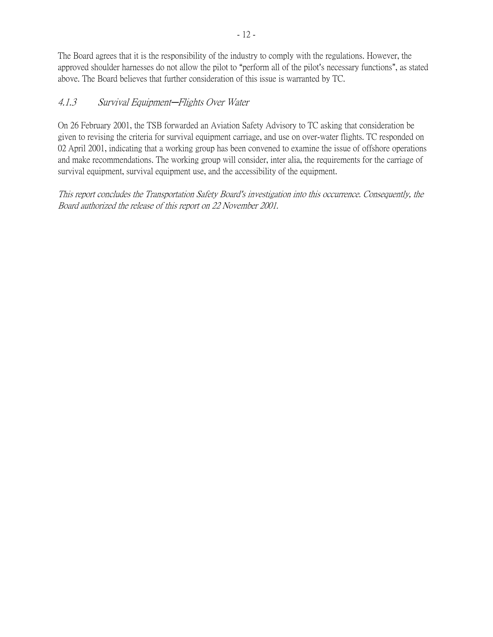The Board agrees that it is the responsibility of the industry to comply with the regulations. However, the approved shoulder harnesses do not allow the pilot to "perform all of the pilot's necessary functions", as stated above. The Board believes that further consideration of this issue is warranted by TC.

#### 4.1.3 Survival Equipment-Flights Over Water

On 26 February 2001, the TSB forwarded an Aviation Safety Advisory to TC asking that consideration be given to revising the criteria for survival equipment carriage, and use on over-water flights. TC responded on 02 April 2001, indicating that a working group has been convened to examine the issue of offshore operations and make recommendations. The working group will consider, inter alia, the requirements for the carriage of survival equipment, survival equipment use, and the accessibility of the equipment.

This report concludes the Transportation Safety Board's investigation into this occurrence. Consequently, the Board authorized the release of this report on 22 November 2001.